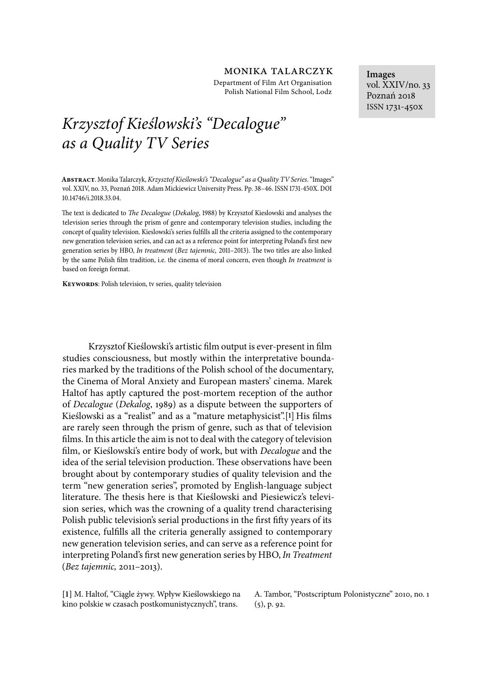Department of Film Art Organisation Polish National Film School, Lodz

# *Krzysztof Kie*ś*lowski's "Decalogue" as a Quality TV Series*

**Abstract**. Monika Talarczyk, *Krzysztof Kie*ś*lowski's "Decalogue" as a Quality TVSeries*. "Images" vol. XXIV, no. 33, Poznań 2018. Adam Mickiewicz University Press. Pp. 38-46. ISSN 1731-450X. DOI 10.14746/i.2018.33.04.

The text is dedicated to *The Decalogue* (*Dekalog*, 1988) by Krzysztof Kieslowski and analyses the television series through the prism of genre and contemporary television studies, including the concept of quality television. Kieslowski's series fulfills all the criteria assigned to the contemporary new generation television series, and can act as a reference point for interpreting Poland's first new generation series by HBO, *In treatment* (*Bez tajemnic*, 2011-2013). The two titles are also linked by the same Polish film tradition, i.e. the cinema of moral concern, even though *In treatment* is based on foreign format.

**KEYWORDS:** Polish television, tv series, quality television

Krzysztof Kieślowski's artistic film output is ever-present in film studies consciousness, but mostly within the interpretative boundaries marked by the traditions of the Polish school of the documentary, the Cinema of Moral Anxiety and European masters' cinema. Marek Haltof has aptly captured the post-mortem reception of the author of *Decalogue* (*Dekalog*, 1989) as a dispute between the supporters of Kieślowski as a "realist" and as a "mature metaphysicist".<sup>[1]</sup> His films are rarely seen through the prism of genre, such as that of television films. In this article the aim is not to deal with the category of television 7lm, or Kieślowski's entire body of work, but with *Decalogue* and the idea of the serial television production. These observations have been brought about by contemporary studies of quality television and the term "new generation series", promoted by English-language subject literature. The thesis here is that Kieślowski and Piesiewicz's television series, which was the crowning of a quality trend characterising Polish public television's serial productions in the first fifty years of its existence, fulfills all the criteria generally assigned to contemporary new generation television series, and can serve as a reference point for interpreting Poland's first new generation series by HBO, *In Treatment* (*Bez tajemnic,* 2011–2013).

**[1]** M. Haltof, "Ciągle żywy. Wpływ Kieślowskiego na kino polskie w czasach postkomunistycznych", trans.

A. Tambor, "Postscriptum Polonistyczne" 2010, no. 1 (5), p. 92.

**Images** vol. XXIV/no. 33 Poznań 2018 ISSN 1731-450x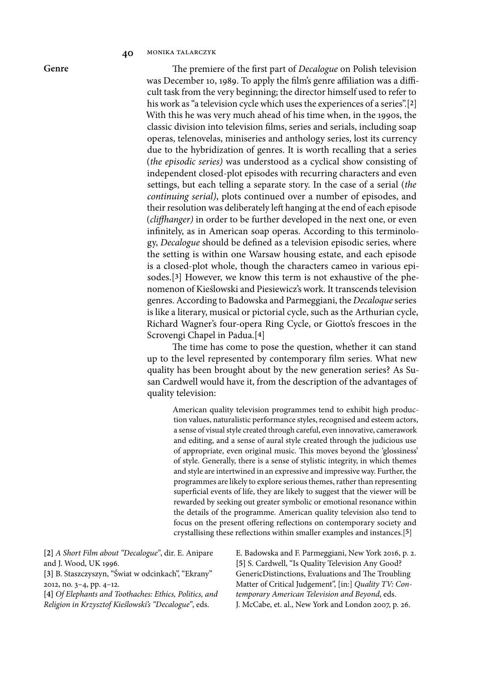The premiere of the first part of *Decalogue* on Polish television was December 10, 1989. To apply the film's genre affiliation was a difficult task from the very beginning; the director himself used to refer to his work as "a television cycle which uses the experiences of a series".[**2**] With this he was very much ahead of his time when, in the 1990s, the classic division into television 7lms, series and serials, including soap operas, telenovelas, miniseries and anthology series, lost its currency due to the hybridization of genres. It is worth recalling that a series (*the episodic series)* was understood as a cyclical show consisting of independent closed-plot episodes with recurring characters and even settings, but each telling a separate story. In the case of a serial (*the continuing serial)*, plots continued over a number of episodes, and their resolution was deliberately left hanging at the end of each episode (*cliffhanger*) in order to be further developed in the next one, or even infinitely, as in American soap operas. According to this terminology, *Decalogue* should be defined as a television episodic series, where the setting is within one Warsaw housing estate, and each episode is a closed-plot whole, though the characters cameo in various episodes.[**3**] However, we know this term is not exhaustive of the phenomenon of Kieślowski and Piesiewicz's work. It transcends television genres. According to Badowska and Parmeggiani, the *Decaloque* series is like a literary, musical or pictorial cycle, such as the Arthurian cycle, Richard Wagner's four-opera Ring Cycle, or Giotto's frescoes in the Scrovengi Chapel in Padua.[**4**]

The time has come to pose the question, whether it can stand up to the level represented by contemporary film series. What new quality has been brought about by the new generation series? As Susan Cardwell would have it, from the description of the advantages of quality television:

American quality television programmes tend to exhibit high production values, naturalistic performance styles, recognised and esteem actors, a sense of visual style created through careful, even innovative, camerawork and editing, and a sense of aural style created through the judicious use of appropriate, even original music. This moves beyond the 'glossiness' of style. Generally, there is a sense of stylistic integrity, in which themes and style are intertwined in an expressive and impressive way. Further, the programmes are likely to explore serious themes, rather than representing superficial events of life, they are likely to suggest that the viewer will be rewarded by seeking out greater symbolic or emotional resonance within the details of the programme. American quality television also tend to focus on the present offering reflections on contemporary society and crystallising these reflections within smaller examples and instances.<sup>[5]</sup>

**[2]** *A Short Film about "Decalogue"*, dir. E. Anipare and J. Wood, UK 1996.

**[3]** B. Staszczyszyn, "Świat w odcinkach", "Ekrany" 2012, no. 3–4, pp. 4–12.

**[4]** *Of Elephants and Toothaches: Ethics, Politics, and Religion in Krzysztof Kie*ś*lowski's "Decalogue"*, eds.

E. Badowska and F. Parmeggiani, New York 2016, p. 2. **[5]** S. Cardwell, "Is Quality Television Any Good? GenericDistinctions, Evaluations and The Troubling Matter of Critical Judgement", [in:] *Quality TV: Contemporary American Television and Beyond*, eds. J. McCabe, et. al., New York and London 2007, p. 26.

**Genre**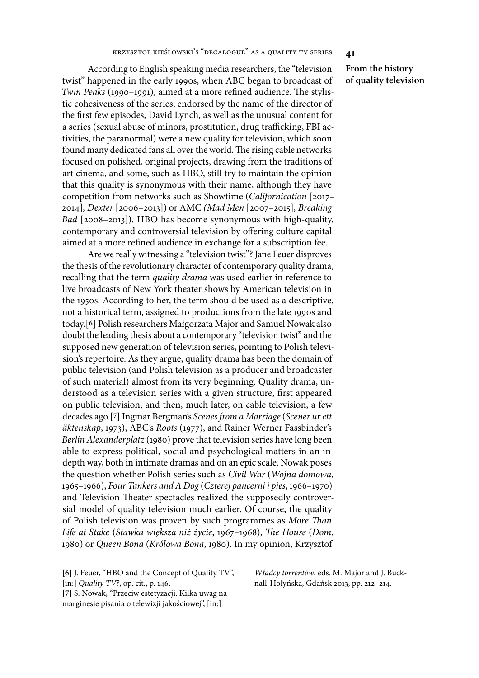According to English speaking media researchers, the "television twist" happened in the early 1990s, when ABC began to broadcast of *Twin Peaks* (1990–1991), aimed at a more refined audience. The stylistic cohesiveness of the series, endorsed by the name of the director of the first few episodes, David Lynch, as well as the unusual content for a series (sexual abuse of minors, prostitution, drug trafficking, FBI activities, the paranormal) were a new quality for television, which soon found many dedicated fans all over the world. The rising cable networks focused on polished, original projects, drawing from the traditions of art cinema, and some, such as HBO, still try to maintain the opinion that this quality is synonymous with their name, although they have competition from networks such as Showtime (*Californication* [2017– 2014]*, Dexter* [2006–2013]) or AMC *(Mad Men* [2007–2015]*, Breaking Bad* [2008–2013])*.* HBO has become synonymous with high-quality, contemporary and controversial television by offering culture capital aimed at a more refined audience in exchange for a subscription fee.

Are we really witnessing a "television twist"? Jane Feuer disproves the thesis of the revolutionary character of contemporary quality drama, recalling that the term *quality drama* was used earlier in reference to live broadcasts of New York theater shows by American television in the 1950s. According to her, the term should be used as a descriptive, not a historical term, assigned to productions from the late 1990s and today.[**6**] Polish researchers Małgorzata Major and Samuel Nowak also doubt the leading thesis about a contemporary "television twist" and the supposed new generation of television series, pointing to Polish television's repertoire. As they argue, quality drama has been the domain of public television (and Polish television as a producer and broadcaster of such material) almost from its very beginning. Quality drama, understood as a television series with a given structure, first appeared on public television, and then, much later, on cable television, a few decades ago.[**7**] Ingmar Bergman's *Scenes from a Marriage* (*Scener ur ett äktenskap*, 1973), ABC's *Roots* (1977), and Rainer Werner Fassbinder's *Berlin Alexanderplatz* (1980) prove that television series have long been able to express political, social and psychological matters in an indepth way, both in intimate dramas and on an epic scale. Nowak poses the question whether Polish series such as *Civil War* (*Wojna domowa*, 1965–1966), *Four Tankers and A Dog* (*Czterej pancerni i pies*, 1966–1970) and Television Theater spectacles realized the supposedly controversial model of quality television much earlier. Of course, the quality of Polish television was proven by such programmes as *More Than Life at Stake* (*Stawka wi*ę*ksza ni*ż ż*ycie*, 1967–1968), "*e House* (*Dom*, 1980) or *Queen Bona* (*Królowa Bona*, 1980). In my opinion, Krzysztof

**[6]** J. Feuer, "HBO and the Concept of Quality TV",

[in:] *Quality TV?*, op. cit., p. 146.

**[7]** S. Nowak, "Przeciw estetyzacji. Kilka uwag na marginesie pisania o telewizji jakościowej", [in:]

*W*ł*adcy torrentów*, eds. M. Major and J. Bucknall-Hołyńska, Gdańsk 2013, pp. 212–214.

**From the history of quality television**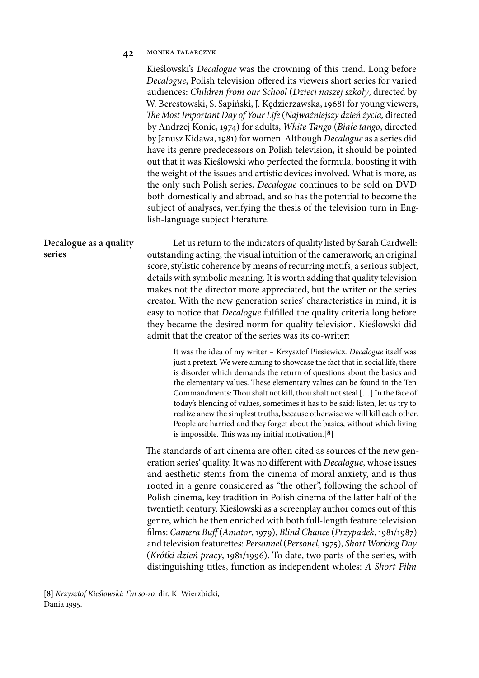Kieślowski's *Decalogue* was the crowning of this trend. Long before *Decalogue*, Polish television offered its viewers short series for varied audiences: *Children from our School* (*Dzieci naszej szko*ł*y*, directed by W. Berestowski, S. Sapiński, J. Kędzierzawska, 1968) for young viewers, "*e Most Important Day of Your Life* (*Najwa*ż*niejszy dzie*ń ż*ycia,* directed by Andrzej Konic, 1974) for adults, *White Tango* (*Bia*ł*e tango*, directed by Janusz Kidawa, 1981) for women. Although *Decalogue* as a series did have its genre predecessors on Polish television, it should be pointed out that it was Kieślowski who perfected the formula, boosting it with the weight of the issues and artistic devices involved. What is more, as the only such Polish series, *Decalogue* continues to be sold on DVD both domestically and abroad, and so has the potential to become the subject of analyses, verifying the thesis of the television turn in English-language subject literature.

Let us return to the indicators of quality listed by Sarah Cardwell: outstanding acting, the visual intuition of the camerawork, an original score, stylistic coherence by means of recurring motifs, a serious subject, details with symbolic meaning. It is worth adding that quality television makes not the director more appreciated, but the writer or the series creator. With the new generation series' characteristics in mind, it is easy to notice that *Decalogue* fulfilled the quality criteria long before they became the desired norm for quality television. Kieślowski did admit that the creator of the series was its co-writer: **Decalogue as a quality series**

> It was the idea of my writer – Krzysztof Piesiewicz. *Decalogue* itself was just a pretext. We were aiming to showcase the fact that in social life, there is disorder which demands the return of questions about the basics and the elementary values. These elementary values can be found in the Ten Commandments: Thou shalt not kill, thou shalt not steal [...] In the face of today's blending of values, sometimes it has to be said: listen, let us try to realize anew the simplest truths, because otherwise we will kill each other. People are harried and they forget about the basics, without which living is impossible. This was my initial motivation.[8]

The standards of art cinema are often cited as sources of the new generation series' quality. It was no different with *Decalogue*, whose issues and aesthetic stems from the cinema of moral anxiety, and is thus rooted in a genre considered as "the other", following the school of Polish cinema, key tradition in Polish cinema of the latter half of the twentieth century. Kieślowski as a screenplay author comes out of this genre, which he then enriched with both full-length feature television 7lms: *Camera Bu*( (*Amator*, 1979), *Blind Chance* (*Przypadek*, 1981/1987) and television featurettes: *Personnel* (*Personel*, 1975), *Short Working Day*  (*Krótki dzie*ń *pracy*, 1981/1996). To date, two parts of the series, with distinguishing titles, function as independent wholes: *A Short Film* 

**[8]** *Krzysztof Kie*ś*lowski: I'm so-so,* dir. K. Wierzbicki, Dania 1995.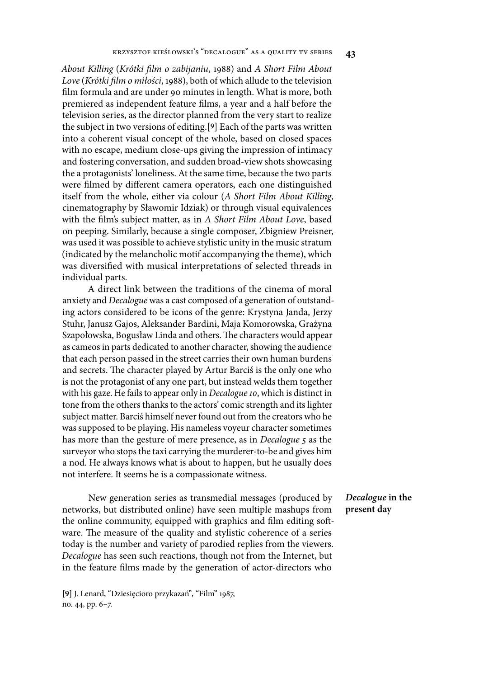*About Killing* (*Krótki* )*lm o zabijaniu*, 1988) and *A Short Film About Love* (*Krótki* )*lm o mi*ł*o*ś*ci*, 1988), both of which allude to the television film formula and are under 90 minutes in length. What is more, both premiered as independent feature films, a year and a half before the television series, as the director planned from the very start to realize the subject in two versions of editing.[**9**] Each of the parts was written into a coherent visual concept of the whole, based on closed spaces with no escape, medium close-ups giving the impression of intimacy and fostering conversation, and sudden broad-view shots showcasing the a protagonists' loneliness. At the same time, because the two parts were filmed by different camera operators, each one distinguished itself from the whole, either via colour (*A Short Film About Killing*, cinematography by Sławomir Idziak) or through visual equivalences with the 7lm's subject matter, as in *A Short Film About Love*, based on peeping. Similarly, because a single composer, Zbigniew Preisner, was used it was possible to achieve stylistic unity in the music stratum (indicated by the melancholic motif accompanying the theme), which was diversified with musical interpretations of selected threads in individual parts.

A direct link between the traditions of the cinema of moral anxiety and *Decalogue* was a cast composed of a generation of outstanding actors considered to be icons of the genre: Krystyna Janda, Jerzy Stuhr, Janusz Gajos, Aleksander Bardini, Maja Komorowska, Grażyna Szapołowska, Bogusław Linda and others. The characters would appear as cameos in parts dedicated to another character, showing the audience that each person passed in the street carries their own human burdens and secrets. The character played by Artur Barciś is the only one who is not the protagonist of any one part, but instead welds them together with his gaze. He fails to appear only in *Decalogue* 10, which is distinct in tone from the others thanks to the actors' comic strength and its lighter subject matter. Barciś himself never found out from the creators who he was supposed to be playing. His nameless voyeur character sometimes has more than the gesture of mere presence, as in *Decalogue* 5 as the surveyor who stops the taxi carrying the murderer-to-be and gives him a nod. He always knows what is about to happen, but he usually does not interfere. It seems he is a compassionate witness.

New generation series as transmedial messages (produced by networks, but distributed online) have seen multiple mashups from the online community, equipped with graphics and film editing software. The measure of the quality and stylistic coherence of a series today is the number and variety of parodied replies from the viewers. *Decalogue* has seen such reactions, though not from the Internet, but in the feature films made by the generation of actor-directors who

**[9]** J. Lenard, "Dziesięcioro przykazań"*,* "Film" 1987, no. 44, pp. 6–7.

# *Decalogue* **in the present day**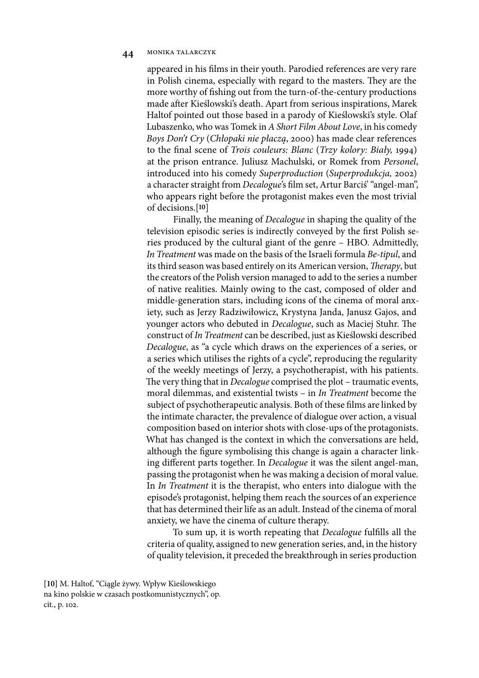appeared in his films in their youth. Parodied references are very rare in Polish cinema, especially with regard to the masters. They are the more worthy of fishing out from the turn-of-the-century productions made after Kieślowski's death. Apart from serious inspirations, Marek Haltof pointed out those based in a parody of Kieślowski's style. Olaf Lubaszenko, who was Tomek in *A Short Film About Love*, in his comedy *Boys Don't Cry* (*Ch*ł*opaki nie p*ł*acz*ą, 2000) has made clear references to the 7nal scene of *Trois couleurs: Blanc* (*Trzy kolory: Bia*ł*y,* 1994) at the prison entrance. Juliusz Machulski, or Romek from *Personel*, introduced into his comedy *Superproduction* (*Superprodukcja,* 2002) a character straight from *Decalogue*'s 7lm set, Artur Barciś' "angel-man", who appears right before the protagonist makes even the most trivial of decisions.[**10**]

Finally, the meaning of *Decalogue* in shaping the quality of the television episodic series is indirectly conveyed by the first Polish series produced by the cultural giant of the genre – HBO. Admittedly, *In Treatment* was made on the basis of the Israeli formula *Be-tipul*, and its third season was based entirely on its American version, *Therapy*, but the creators of the Polish version managed to add to the series a number of native realities. Mainly owing to the cast, composed of older and middle-generation stars, including icons of the cinema of moral anxiety, such as Jerzy Radziwiłowicz, Krystyna Janda, Janusz Gajos, and younger actors who debuted in *Decalogue*, such as Maciej Stuhr. The construct of *In Treatment* can be described, just as Kieślowski described *Decalogue*, as "a cycle which draws on the experiences of a series, or a series which utilises the rights of a cycle", reproducing the regularity of the weekly meetings of Jerzy, a psychotherapist, with his patients. The very thing that in *Decalogue* comprised the plot – traumatic events, moral dilemmas, and existential twists – in *In Treatment* become the subject of psychotherapeutic analysis. Both of these films are linked by the intimate character, the prevalence of dialogue over action, a visual composition based on interior shots with close-ups of the protagonists. What has changed is the context in which the conversations are held, although the figure symbolising this change is again a character linking different parts together. In *Decalogue* it was the silent angel-man, passing the protagonist when he was making a decision of moral value. In *In Treatment* it is the therapist, who enters into dialogue with the episode's protagonist, helping them reach the sources of an experience that has determined their life as an adult. Instead of the cinema of moral anxiety, we have the cinema of culture therapy.

To sum up, it is worth repeating that *Decalogue* fulfills all the criteria of quality, assigned to new generation series, and, in the history of quality television, it preceded the breakthrough in series production

**[10]** M. Haltof, "Ciągle żywy. Wpływ Kieślowskiego na kino polskie w czasach postkomunistycznych", op. cit., p. 102.